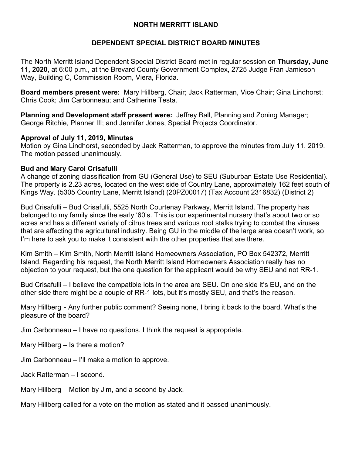## **NORTH MERRITT ISLAND**

## **DEPENDENT SPECIAL DISTRICT BOARD MINUTES**

The North Merritt Island Dependent Special District Board met in regular session on **Thursday, June 11, 2020**, at 6:00 p.m., at the Brevard County Government Complex, 2725 Judge Fran Jamieson Way, Building C, Commission Room, Viera, Florida.

**Board members present were:** Mary Hillberg, Chair; Jack Ratterman, Vice Chair; Gina Lindhorst; Chris Cook; Jim Carbonneau; and Catherine Testa.

**Planning and Development staff present were:** Jeffrey Ball, Planning and Zoning Manager; George Ritchie, Planner III; and Jennifer Jones, Special Projects Coordinator.

#### **Approval of July 11, 2019, Minutes**

Motion by Gina Lindhorst, seconded by Jack Ratterman, to approve the minutes from July 11, 2019. The motion passed unanimously.

# **Bud and Mary Carol Crisafulli**

A change of zoning classification from GU (General Use) to SEU (Suburban Estate Use Residential). The property is 2.23 acres, located on the west side of Country Lane, approximately 162 feet south of Kings Way. (5305 Country Lane, Merritt Island) (20PZ00017) (Tax Account 2316832) (District 2)

Bud Crisafulli – Bud Crisafulli, 5525 North Courtenay Parkway, Merritt Island. The property has belonged to my family since the early '60's. This is our experimental nursery that's about two or so acres and has a different variety of citrus trees and various root stalks trying to combat the viruses that are affecting the agricultural industry. Being GU in the middle of the large area doesn't work, so I'm here to ask you to make it consistent with the other properties that are there.

Kim Smith – Kim Smith, North Merritt Island Homeowners Association, PO Box 542372, Merritt Island. Regarding his request, the North Merritt Island Homeowners Association really has no objection to your request, but the one question for the applicant would be why SEU and not RR-1.

Bud Crisafulli – I believe the compatible lots in the area are SEU. On one side it's EU, and on the other side there might be a couple of RR-1 lots, but it's mostly SEU, and that's the reason.

Mary Hillberg - Any further public comment? Seeing none, I bring it back to the board. What's the pleasure of the board?

Jim Carbonneau – I have no questions. I think the request is appropriate.

Mary Hillberg – Is there a motion?

Jim Carbonneau – I'll make a motion to approve.

Jack Ratterman – I second.

Mary Hillberg – Motion by Jim, and a second by Jack.

Mary Hillberg called for a vote on the motion as stated and it passed unanimously.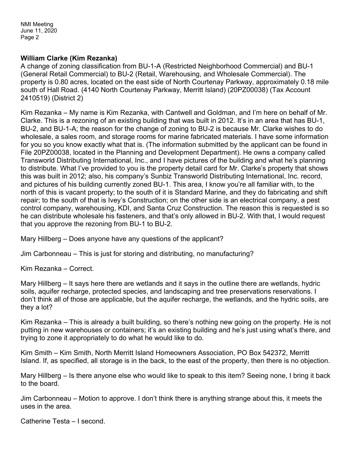### **William Clarke (Kim Rezanka)**

A change of zoning classification from BU-1-A (Restricted Neighborhood Commercial) and BU-1 (General Retail Commercial) to BU-2 (Retail, Warehousing, and Wholesale Commercial). The property is 0.80 acres, located on the east side of North Courtenay Parkway, approximately 0.18 mile south of Hall Road. (4140 North Courtenay Parkway, Merritt Island) (20PZ00038) (Tax Account 2410519) (District 2)

Kim Rezanka – My name is Kim Rezanka, with Cantwell and Goldman, and I'm here on behalf of Mr. Clarke. This is a rezoning of an existing building that was built in 2012. It's in an area that has BU-1, BU-2, and BU-1-A; the reason for the change of zoning to BU-2 is because Mr. Clarke wishes to do wholesale, a sales room, and storage rooms for marine fabricated materials. I have some information for you so you know exactly what that is. (The information submitted by the applicant can be found in File 20PZ00038, located in the Planning and Development Department). He owns a company called Transworld Distributing International, Inc., and I have pictures of the building and what he's planning to distribute. What I've provided to you is the property detail card for Mr. Clarke's property that shows this was built in 2012; also, his company's Sunbiz Transworld Distributing International, Inc. record, and pictures of his building currently zoned BU-1. This area, I know you're all familiar with, to the north of this is vacant property; to the south of it is Standard Marine, and they do fabricating and shift repair; to the south of that is Ivey's Construction; on the other side is an electrical company, a pest control company, warehousing, KDI, and Santa Cruz Construction. The reason this is requested is so he can distribute wholesale his fasteners, and that's only allowed in BU-2. With that, I would request that you approve the rezoning from BU-1 to BU-2.

Mary Hillberg – Does anyone have any questions of the applicant?

Jim Carbonneau – This is just for storing and distributing, no manufacturing?

Kim Rezanka – Correct.

Mary Hillberg – It says here there are wetlands and it says in the outline there are wetlands, hydric soils, aquifer recharge, protected species, and landscaping and tree preservations reservations. I don't think all of those are applicable, but the aquifer recharge, the wetlands, and the hydric soils, are they a lot?

Kim Rezanka – This is already a built building, so there's nothing new going on the property. He is not putting in new warehouses or containers; it's an existing building and he's just using what's there, and trying to zone it appropriately to do what he would like to do.

Kim Smith – Kim Smith, North Merritt Island Homeowners Association, PO Box 542372, Merritt Island. If, as specified, all storage is in the back, to the east of the property, then there is no objection.

Mary Hillberg – Is there anyone else who would like to speak to this item? Seeing none, I bring it back to the board.

Jim Carbonneau – Motion to approve. I don't think there is anything strange about this, it meets the uses in the area.

Catherine Testa – I second.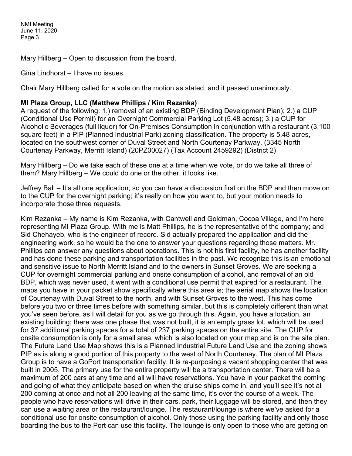Mary Hillberg – Open to discussion from the board.

Gina Lindhorst – I have no issues.

Chair Mary Hillberg called for a vote on the motion as stated, and it passed unanimously.

### **MI Plaza Group, LLC (Matthew Phillips / Kim Rezanka)**

A request of the following: 1.) removal of an existing BDP (Binding Development Plan); 2.) a CUP (Conditional Use Permit) for an Overnight Commercial Parking Lot (5.48 acres); 3.) a CUP for Alcoholic Beverages (full liquor) for On-Premises Consumption in conjunction with a restaurant (3,100 square feet) in a PIP (Planned Industrial Park) zoning classification. The property is 5.48 acres, located on the southwest corner of Duval Street and North Courtenay Parkway. (3345 North Courtenay Parkway, Merritt Island) (20PZ00027) (Tax Account 2459292) (District 2)

Mary Hillberg – Do we take each of these one at a time when we vote, or do we take all three of them? Mary Hillberg – We could do one or the other, it looks like.

Jeffrey Ball – It's all one application, so you can have a discussion first on the BDP and then move on to the CUP for the overnight parking; it's really on how you want to, but your motion needs to incorporate those three requests.

Kim Rezanka – My name is Kim Rezanka, with Cantwell and Goldman, Cocoa Village, and I'm here representing MI Plaza Group. With me is Matt Phillips, he is the representative of the company; and Sid Chehayeb, who is the engineer of record. Sid actually prepared the application and did the engineering work, so he would be the one to answer your questions regarding those matters. Mr. Phillips can answer any questions about operations. This is not his first facility, he has another facility and has done these parking and transportation facilities in the past. We recognize this is an emotional and sensitive issue to North Merritt Island and to the owners in Sunset Groves. We are seeking a CUP for overnight commercial parking and onsite consumption of alcohol, and removal of an old BDP, which was never used, it went with a conditional use permit that expired for a restaurant. The maps you have in your packet show specifically where this area is; the aerial map shows the location of Courtenay with Duval Street to the north, and with Sunset Groves to the west. This has come before you two or three times before with something similar, but this is completely different than what you've seen before, as I will detail for you as we go through this. Again, you have a location, an existing building; there was one phase that was not built, it is an empty grass lot, which will be used for 37 additional parking spaces for a total of 237 parking spaces on the entire site. The CUP for onsite consumption is only for a small area, which is also located on your map and is on the site plan. The Future Land Use Map shows this is a Planned Industrial Future Land Use and the zoning shows PIP as is along a good portion of this property to the west of North Courtenay. The plan of MI Plaza Group is to have a GoPort transportation facility. It is re-purposing a vacant shopping center that was built in 2005. The primary use for the entire property will be a transportation center. There will be a maximum of 200 cars at any time and all will have reservations. You have in your packet the coming and going of what they anticipate based on when the cruise ships come in, and you'll see it's not all 200 coming at once and not all 200 leaving at the same time, it's over the course of a week. The people who have reservations will drive in their cars, park, their luggage will be stored, and then they can use a waiting area or the restaurant/lounge. The restaurant/lounge is where we've asked for a conditional use for onsite consumption of alcohol. Only those using the parking facility and only those boarding the bus to the Port can use this facility. The lounge is only open to those who are getting on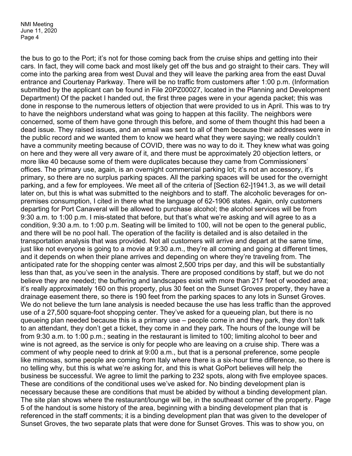the bus to go to the Port; it's not for those coming back from the cruise ships and getting into their cars. In fact, they will come back and most likely get off the bus and go straight to their cars. They will come into the parking area from west Duval and they will leave the parking area from the east Duval entrance and Courtenay Parkway. There will be no traffic from customers after 1:00 p.m. (Information submitted by the applicant can be found in File 20PZ00027, located in the Planning and Development Department) Of the packet I handed out, the first three pages were in your agenda packet; this was done in response to the numerous letters of objection that were provided to us in April. This was to try to have the neighbors understand what was going to happen at this facility. The neighbors were concerned, some of them have gone through this before, and some of them thought this had been a dead issue. They raised issues, and an email was sent to all of them because their addresses were in the public record and we wanted them to know we heard what they were saying; we really couldn't have a community meeting because of COVID, there was no way to do it. They knew what was going on here and they were all very aware of it, and there must be approximately 20 objection letters, or more like 40 because some of them were duplicates because they came from Commissioners' offices. The primary use, again, is an overnight commercial parking lot; it's not an accessory, it's primary, so there are no surplus parking spaces. All the parking spaces will be used for the overnight parking, and a few for employees. We meet all of the criteria of [Section 62-]1941.3, as we will detail later on, but this is what was submitted to the neighbors and to staff. The alcoholic beverages for onpremises consumption, I cited in there what the language of 62-1906 states. Again, only customers departing for Port Canaveral will be allowed to purchase alcohol; the alcohol services will be from 9:30 a.m. to 1:00 p.m. I mis-stated that before, but that's what we're asking and will agree to as a condition, 9:30 a.m. to 1:00 p.m. Seating will be limited to 100, will not be open to the general public, and there will be no pool hall. The operation of the facility is detailed and is also detailed in the transportation analysis that was provided. Not all customers will arrive and depart at the same time, just like not everyone is going to a movie at 9:30 a.m., they're all coming and going at different times, and it depends on when their plane arrives and depending on where they're traveling from. The anticipated rate for the shopping center was almost 2,500 trips per day, and this will be substantially less than that, as you've seen in the analysis. There are proposed conditions by staff, but we do not believe they are needed; the buffering and landscapes exist with more than 217 feet of wooded area; it's really approximately 160 on this property, plus 30 feet on the Sunset Groves property, they have a drainage easement there, so there is 190 feet from the parking spaces to any lots in Sunset Groves. We do not believe the turn lane analysis is needed because the use has less traffic than the approved use of a 27,500 square-foot shopping center. They've asked for a queueing plan, but there is no queueing plan needed because this is a primary use – people come in and they park, they don't talk to an attendant, they don't get a ticket, they come in and they park. The hours of the lounge will be from 9:30 a.m. to 1:00 p.m.; seating in the restaurant is limited to 100; limiting alcohol to beer and wine is not agreed, as the service is only for people who are leaving on a cruise ship. There was a comment of why people need to drink at 9:00 a.m., but that is a personal preference, some people like mimosas, some people are coming from Italy where there is a six-hour time difference, so there is no telling why, but this is what we're asking for, and this is what GoPort believes will help the business be successful. We agree to limit the parking to 232 spots, along with five employee spaces. These are conditions of the conditional uses we've asked for. No binding development plan is necessary because these are conditions that must be abided by without a binding development plan. The site plan shows where the restaurant/lounge will be, in the southeast corner of the property. Page 5 of the handout is some history of the area, beginning with a binding development plan that is referenced in the staff comments; it is a binding development plan that was given to the developer of Sunset Groves, the two separate plats that were done for Sunset Groves. This was to show you, on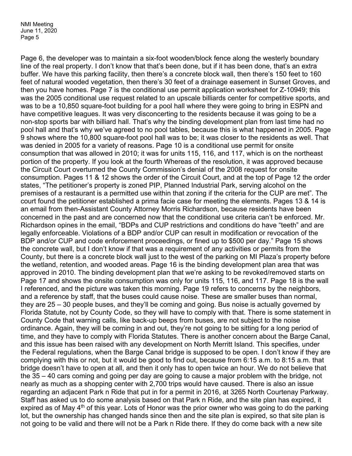Page 6, the developer was to maintain a six-foot wooden/block fence along the westerly boundary line of the real property. I don't know that that's been done, but if it has been done, that's an extra buffer. We have this parking facility, then there's a concrete block wall, then there's 150 feet to 160 feet of natural wooded vegetation, then there's 30 feet of a drainage easement in Sunset Groves, and then you have homes. Page 7 is the conditional use permit application worksheet for Z-10949; this was the 2005 conditional use request related to an upscale billiards center for competitive sports, and was to be a 10,850 square-foot building for a pool hall where they were going to bring in ESPN and have competitive leagues. It was very disconcerting to the residents because it was going to be a non-stop sports bar with billiard hall. That's why the binding development plan from last time had no pool hall and that's why we've agreed to no pool tables, because this is what happened in 2005. Page 9 shows where the 10,800 square-foot pool hall was to be; it was closer to the residents as well. That was denied in 2005 for a variety of reasons. Page 10 is a conditional use permit for onsite consumption that was allowed in 2010; it was for units 115, 116, and 117, which is on the northeast portion of the property. If you look at the fourth Whereas of the resolution, it was approved because the Circuit Court overturned the County Commission's denial of the 2008 request for onsite consumption. Pages 11 & 12 shows the order of the Circuit Court, and at the top of Page 12 the order states, "The petitioner's property is zoned PIP, Planned Industrial Park, serving alcohol on the premises of a restaurant is a permitted use within that zoning if the criteria for the CUP are met". The court found the petitioner established a prima facie case for meeting the elements. Pages 13 & 14 is an email from then-Assistant County Attorney Morris Richardson, because residents have been concerned in the past and are concerned now that the conditional use criteria can't be enforced. Mr. Richardson opines in the email, "BDPs and CUP restrictions and conditions do have "teeth" and are legally enforceable. Violations of a BDP and/or CUP can result in modification or revocation of the BDP and/or CUP and code enforcement proceedings, or fined up to \$500 per day." Page 15 shows the concrete wall, but I don't know if that was a requirement of any activities or permits from the County, but there is a concrete block wall just to the west of the parking on MI Plaza's property before the wetland, retention, and wooded areas. Page 16 is the binding development plan area that was approved in 2010. The binding development plan that we're asking to be revoked/removed starts on Page 17 and shows the onsite consumption was only for units 115, 116, and 117. Page 18 is the wall I referenced, and the picture was taken this morning. Page 19 refers to concerns by the neighbors, and a reference by staff, that the buses could cause noise. These are smaller buses than normal, they are 25 – 30 people buses, and they'll be coming and going. Bus noise is actually governed by Florida Statute, not by County Code, so they will have to comply with that. There is some statement in County Code that warning calls, like back-up beeps from buses, are not subject to the noise ordinance. Again, they will be coming in and out, they're not going to be sitting for a long period of time, and they have to comply with Florida Statutes. There is another concern about the Barge Canal, and this issue has been raised with any development on North Merritt Island. This specifies, under the Federal regulations, when the Barge Canal bridge is supposed to be open. I don't know if they are complying with this or not, but it would be good to find out, because from 6:15 a.m. to 8:15 a.m. that bridge doesn't have to open at all, and then it only has to open twice an hour. We do not believe that the 35 – 40 cars coming and going per day are going to cause a major problem with the bridge, not nearly as much as a shopping center with 2,700 trips would have caused. There is also an issue regarding an adjacent Park n Ride that put in for a permit in 2016, at 3265 North Courtenay Parkway. Staff has asked us to do some analysis based on that Park n Ride, and the site plan has expired, it expired as of May  $4<sup>th</sup>$  of this year. Lots of Honor was the prior owner who was going to do the parking lot, but the ownership has changed hands since then and the site plan is expired, so that site plan is not going to be valid and there will not be a Park n Ride there. If they do come back with a new site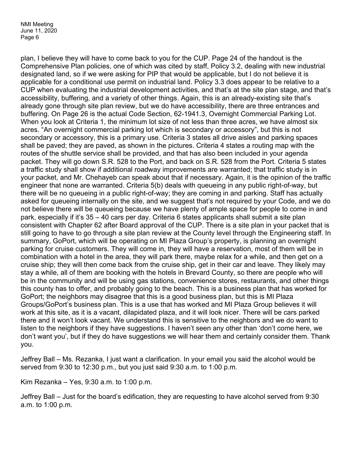plan, I believe they will have to come back to you for the CUP. Page 24 of the handout is the Comprehensive Plan policies, one of which was cited by staff, Policy 3.2, dealing with new industrial designated land, so if we were asking for PIP that would be applicable, but I do not believe it is applicable for a conditional use permit on industrial land. Policy 3.3 does appear to be relative to a CUP when evaluating the industrial development activities, and that's at the site plan stage, and that's accessibility, buffering, and a variety of other things. Again, this is an already-existing site that's already gone through site plan review, but we do have accessibility, there are three entrances and buffering. On Page 26 is the actual Code Section, 62-1941.3, Overnight Commercial Parking Lot. When you look at Criteria 1, the minimum lot size of not less than three acres, we have almost six acres. "An overnight commercial parking lot which is secondary or accessory", but this is not secondary or accessory, this is a primary use. Criteria 3 states all drive aisles and parking spaces shall be paved; they are paved, as shown in the pictures. Criteria 4 states a routing map with the routes of the shuttle service shall be provided, and that has also been included in your agenda packet. They will go down S.R. 528 to the Port, and back on S.R. 528 from the Port. Criteria 5 states a traffic study shall show if additional roadway improvements are warranted; that traffic study is in your packet, and Mr. Chehayeb can speak about that if necessary. Again, it is the opinion of the traffic engineer that none are warranted. Criteria 5(b) deals with queueing in any public right-of-way, but there will be no queueing in a public right-of-way; they are coming in and parking. Staff has actually asked for queueing internally on the site, and we suggest that's not required by your Code, and we do not believe there will be queueing because we have plenty of ample space for people to come in and park, especially if it's 35 – 40 cars per day. Criteria 6 states applicants shall submit a site plan consistent with Chapter 62 after Board approval of the CUP. There is a site plan in your packet that is still going to have to go through a site plan review at the County level through the Engineering staff. In summary, GoPort, which will be operating on MI Plaza Group's property, is planning an overnight parking for cruise customers. They will come in, they will have a reservation, most of them will be in combination with a hotel in the area, they will park there, maybe relax for a while, and then get on a cruise ship; they will then come back from the cruise ship, get in their car and leave. They likely may stay a while, all of them are booking with the hotels in Brevard County, so there are people who will be in the community and will be using gas stations, convenience stores, restaurants, and other things this county has to offer, and probably going to the beach. This is a business plan that has worked for GoPort; the neighbors may disagree that this is a good business plan, but this is MI Plaza Groups/GoPort's business plan. This is a use that has worked and MI Plaza Group believes it will work at this site, as it is a vacant, dilapidated plaza, and it will look nicer. There will be cars parked there and it won't look vacant. We understand this is sensitive to the neighbors and we do want to listen to the neighbors if they have suggestions. I haven't seen any other than 'don't come here, we don't want you', but if they do have suggestions we will hear them and certainly consider them. Thank you.

Jeffrey Ball – Ms. Rezanka, I just want a clarification. In your email you said the alcohol would be served from 9:30 to 12:30 p.m., but you just said 9:30 a.m. to 1:00 p.m.

Kim Rezanka – Yes, 9:30 a.m. to 1:00 p.m.

Jeffrey Ball – Just for the board's edification, they are requesting to have alcohol served from 9:30 a.m. to 1:00 p.m.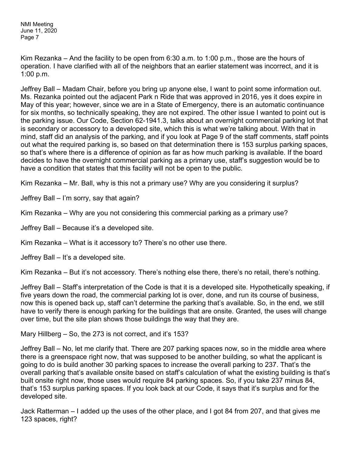Kim Rezanka – And the facility to be open from 6:30 a.m. to 1:00 p.m., those are the hours of operation. I have clarified with all of the neighbors that an earlier statement was incorrect, and it is 1:00 p.m.

Jeffrey Ball – Madam Chair, before you bring up anyone else, I want to point some information out. Ms. Rezanka pointed out the adjacent Park n Ride that was approved in 2016, yes it does expire in May of this year; however, since we are in a State of Emergency, there is an automatic continuance for six months, so technically speaking, they are not expired. The other issue I wanted to point out is the parking issue. Our Code, Section 62-1941.3, talks about an overnight commercial parking lot that is secondary or accessory to a developed site, which this is what we're talking about. With that in mind, staff did an analysis of the parking, and if you look at Page 9 of the staff comments, staff points out what the required parking is, so based on that determination there is 153 surplus parking spaces, so that's where there is a difference of opinion as far as how much parking is available. If the board decides to have the overnight commercial parking as a primary use, staff's suggestion would be to have a condition that states that this facility will not be open to the public.

Kim Rezanka – Mr. Ball, why is this not a primary use? Why are you considering it surplus?

Jeffrey Ball – I'm sorry, say that again?

Kim Rezanka – Why are you not considering this commercial parking as a primary use?

Jeffrey Ball – Because it's a developed site.

Kim Rezanka – What is it accessory to? There's no other use there.

Jeffrey Ball – It's a developed site.

Kim Rezanka – But it's not accessory. There's nothing else there, there's no retail, there's nothing.

Jeffrey Ball – Staff's interpretation of the Code is that it is a developed site. Hypothetically speaking, if five years down the road, the commercial parking lot is over, done, and run its course of business, now this is opened back up, staff can't determine the parking that's available. So, in the end, we still have to verify there is enough parking for the buildings that are onsite. Granted, the uses will change over time, but the site plan shows those buildings the way that they are.

Mary Hillberg – So, the 273 is not correct, and it's 153?

Jeffrey Ball – No, let me clarify that. There are 207 parking spaces now, so in the middle area where there is a greenspace right now, that was supposed to be another building, so what the applicant is going to do is build another 30 parking spaces to increase the overall parking to 237. That's the overall parking that's available onsite based on staff's calculation of what the existing building is that's built onsite right now, those uses would require 84 parking spaces. So, if you take 237 minus 84, that's 153 surplus parking spaces. If you look back at our Code, it says that it's surplus and for the developed site.

Jack Ratterman – I added up the uses of the other place, and I got 84 from 207, and that gives me 123 spaces, right?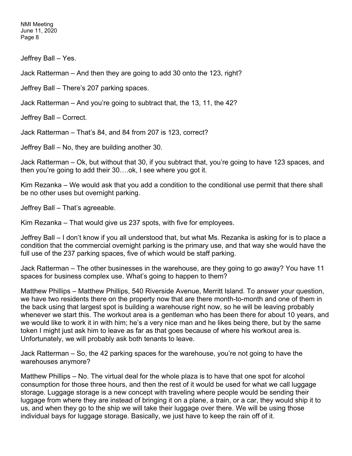Jeffrey Ball – Yes.

Jack Ratterman – And then they are going to add 30 onto the 123, right?

Jeffrey Ball – There's 207 parking spaces.

Jack Ratterman – And you're going to subtract that, the 13, 11, the 42?

Jeffrey Ball – Correct.

Jack Ratterman – That's 84, and 84 from 207 is 123, correct?

Jeffrey Ball – No, they are building another 30.

Jack Ratterman – Ok, but without that 30, if you subtract that, you're going to have 123 spaces, and then you're going to add their 30….ok, I see where you got it.

Kim Rezanka – We would ask that you add a condition to the conditional use permit that there shall be no other uses but overnight parking.

Jeffrey Ball – That's agreeable.

Kim Rezanka – That would give us 237 spots, with five for employees.

Jeffrey Ball – I don't know if you all understood that, but what Ms. Rezanka is asking for is to place a condition that the commercial overnight parking is the primary use, and that way she would have the full use of the 237 parking spaces, five of which would be staff parking.

Jack Ratterman – The other businesses in the warehouse, are they going to go away? You have 11 spaces for business complex use. What's going to happen to them?

Matthew Phillips – Matthew Phillips, 540 Riverside Avenue, Merritt Island. To answer your question, we have two residents there on the property now that are there month-to-month and one of them in the back using that largest spot is building a warehouse right now, so he will be leaving probably whenever we start this. The workout area is a gentleman who has been there for about 10 years, and we would like to work it in with him; he's a very nice man and he likes being there, but by the same token I might just ask him to leave as far as that goes because of where his workout area is. Unfortunately, we will probably ask both tenants to leave.

Jack Ratterman – So, the 42 parking spaces for the warehouse, you're not going to have the warehouses anymore?

Matthew Phillips – No. The virtual deal for the whole plaza is to have that one spot for alcohol consumption for those three hours, and then the rest of it would be used for what we call luggage storage. Luggage storage is a new concept with traveling where people would be sending their luggage from where they are instead of bringing it on a plane, a train, or a car, they would ship it to us, and when they go to the ship we will take their luggage over there. We will be using those individual bays for luggage storage. Basically, we just have to keep the rain off of it.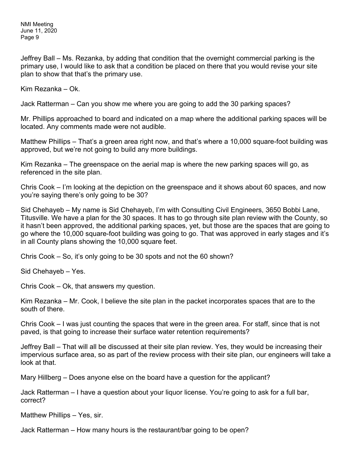Jeffrey Ball – Ms. Rezanka, by adding that condition that the overnight commercial parking is the primary use, I would like to ask that a condition be placed on there that you would revise your site plan to show that that's the primary use.

Kim Rezanka – Ok.

Jack Ratterman – Can you show me where you are going to add the 30 parking spaces?

Mr. Phillips approached to board and indicated on a map where the additional parking spaces will be located. Any comments made were not audible.

Matthew Phillips – That's a green area right now, and that's where a 10,000 square-foot building was approved, but we're not going to build any more buildings.

Kim Rezanka – The greenspace on the aerial map is where the new parking spaces will go, as referenced in the site plan.

Chris Cook – I'm looking at the depiction on the greenspace and it shows about 60 spaces, and now you're saying there's only going to be 30?

Sid Chehayeb – My name is Sid Chehayeb, I'm with Consulting Civil Engineers, 3650 Bobbi Lane, Titusville. We have a plan for the 30 spaces. It has to go through site plan review with the County, so it hasn't been approved, the additional parking spaces, yet, but those are the spaces that are going to go where the 10,000 square-foot building was going to go. That was approved in early stages and it's in all County plans showing the 10,000 square feet.

Chris Cook – So, it's only going to be 30 spots and not the 60 shown?

Sid Chehayeb – Yes.

Chris Cook – Ok, that answers my question.

Kim Rezanka – Mr. Cook, I believe the site plan in the packet incorporates spaces that are to the south of there.

Chris Cook – I was just counting the spaces that were in the green area. For staff, since that is not paved, is that going to increase their surface water retention requirements?

Jeffrey Ball – That will all be discussed at their site plan review. Yes, they would be increasing their impervious surface area, so as part of the review process with their site plan, our engineers will take a look at that.

Mary Hillberg – Does anyone else on the board have a question for the applicant?

Jack Ratterman – I have a question about your liquor license. You're going to ask for a full bar, correct?

Matthew Phillips – Yes, sir.

Jack Ratterman – How many hours is the restaurant/bar going to be open?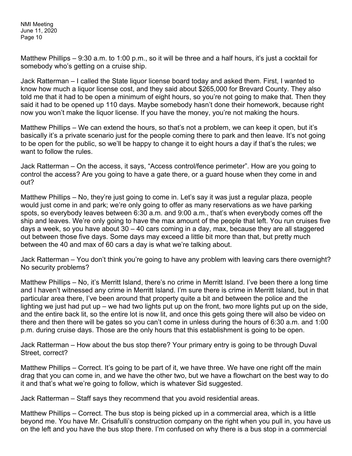Matthew Phillips – 9:30 a.m. to 1:00 p.m., so it will be three and a half hours, it's just a cocktail for somebody who's getting on a cruise ship.

Jack Ratterman – I called the State liquor license board today and asked them. First, I wanted to know how much a liquor license cost, and they said about \$265,000 for Brevard County. They also told me that it had to be open a minimum of eight hours, so you're not going to make that. Then they said it had to be opened up 110 days. Maybe somebody hasn't done their homework, because right now you won't make the liquor license. If you have the money, you're not making the hours.

Matthew Phillips – We can extend the hours, so that's not a problem, we can keep it open, but it's basically it's a private scenario just for the people coming there to park and then leave. It's not going to be open for the public, so we'll be happy to change it to eight hours a day if that's the rules; we want to follow the rules.

Jack Ratterman – On the access, it says, "Access control/fence perimeter". How are you going to control the access? Are you going to have a gate there, or a guard house when they come in and out?

Matthew Phillips – No, they're just going to come in. Let's say it was just a regular plaza, people would just come in and park; we're only going to offer as many reservations as we have parking spots, so everybody leaves between 6:30 a.m. and 9:00 a.m., that's when everybody comes off the ship and leaves. We're only going to have the max amount of the people that left. You run cruises five days a week, so you have about 30 – 40 cars coming in a day, max, because they are all staggered out between those five days. Some days may exceed a little bit more than that, but pretty much between the 40 and max of 60 cars a day is what we're talking about.

Jack Ratterman – You don't think you're going to have any problem with leaving cars there overnight? No security problems?

Matthew Phillips – No, it's Merritt Island, there's no crime in Merritt Island. I've been there a long time and I haven't witnessed any crime in Merritt Island. I'm sure there is crime in Merritt Island, but in that particular area there, I've been around that property quite a bit and between the police and the lighting we just had put up – we had two lights put up on the front, two more lights put up on the side, and the entire back lit, so the entire lot is now lit, and once this gets going there will also be video on there and then there will be gates so you can't come in unless during the hours of 6:30 a.m. and 1:00 p.m. during cruise days. Those are the only hours that this establishment is going to be open.

Jack Ratterman – How about the bus stop there? Your primary entry is going to be through Duval Street, correct?

Matthew Phillips – Correct. It's going to be part of it, we have three. We have one right off the main drag that you can come in, and we have the other two, but we have a flowchart on the best way to do it and that's what we're going to follow, which is whatever Sid suggested.

Jack Ratterman – Staff says they recommend that you avoid residential areas.

Matthew Phillips – Correct. The bus stop is being picked up in a commercial area, which is a little beyond me. You have Mr. Crisafulli's construction company on the right when you pull in, you have us on the left and you have the bus stop there. I'm confused on why there is a bus stop in a commercial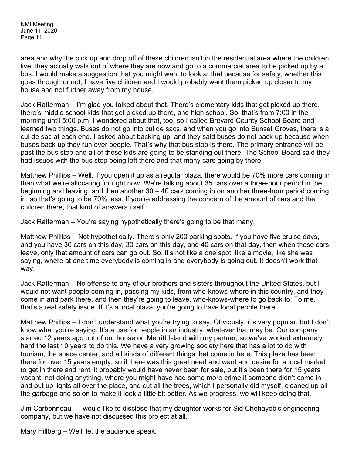area and why the pick up and drop off of these children isn't in the residential area where the children live; they actually walk out of where they are now and go to a commercial area to be picked up by a bus. I would make a suggestion that you might want to look at that because for safety, whether this goes through or not, I have five children and I would probably want them picked up closer to my house and not further away from my house.

Jack Ratterman – I'm glad you talked about that. There's elementary kids that get picked up there, there's middle school kids that get picked up there, and high school. So, that's from 7:00 in the morning until 5:00 p.m. I wondered about that, too, so I called Brevard County School Board and learned two things. Buses do not go into cul de sacs, and when you go into Sunset Groves, there is a cul de sac at each end. I asked about backing up, and they said buses do not back up because when buses back up they run over people. That's why that bus stop is there. The primary entrance will be past the bus stop and all of those kids are going to be standing out there. The School Board said they had issues with the bus stop being left there and that many cars going by there.

Matthew Phillips – Well, if you open it up as a regular plaza, there would be 70% more cars coming in than what we're allocating for right now. We're talking about 35 cars over a three-hour period in the beginning and leaving, and then another 30 – 40 cars coming in on another three-hour period coming in, so that's going to be 70% less. If you're addressing the concern of the amount of cars and the children there, that kind of answers itself.

Jack Ratterman – You're saying hypothetically there's going to be that many.

Matthew Phillips – Not hypothetically. There's only 200 parking spots. If you have five cruise days, and you have 30 cars on this day, 30 cars on this day, and 40 cars on that day, then when those cars leave, only that amount of cars can go out. So, it's not like a one spot, like a movie, like she was saying, where at one time everybody is coming in and everybody is going out. It doesn't work that way.

Jack Ratterman – No offense to any of our brothers and sisters throughout the United States, but I would not want people coming in, passing my kids, from who-knows-where in this country, and they come in and park there, and then they're going to leave, who-knows-where to go back to. To me, that's a real safety issue. If it's a local plaza, you're going to have local people there.

Matthew Phillips – I don't understand what you're trying to say. Obviously, it's very popular, but I don't know what you're saying. It's a use for people in an industry, whatever that may be. Our company started 12 years ago out of our house on Merritt Island with my partner, so we've worked extremely hard the last 10 years to do this. We have a very growing society here that has a lot to do with tourism, the space center, and all kinds of different things that come in here. This plaza has been there for over 15 years empty, so if there was this great need and want and desire for a local market to get in there and rent, it probably would have never been for sale, but it's been there for 15 years vacant, not doing anything, where you might have had some more crime if someone didn't come in and put up lights all over the place, and cut all the trees, which I personally did myself, cleaned up all the garbage and so on to make it look a little bit better. As we progress, we will keep doing that.

Jim Carbonneau – I would like to disclose that my daughter works for Sid Chehayeb's engineering company, but we have not discussed this project at all.

Mary Hillberg – We'll let the audience speak.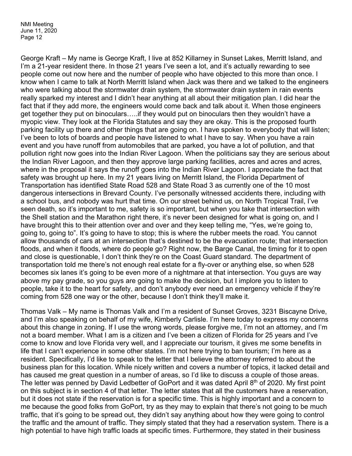George Kraft – My name is George Kraft, I live at 852 Killarney in Sunset Lakes, Merritt Island, and I'm a 21-year resident there. In those 21 years I've seen a lot, and it's actually rewarding to see people come out now here and the number of people who have objected to this more than once. I know when I came to talk at North Merritt Island when Jack was there and we talked to the engineers who were talking about the stormwater drain system, the stormwater drain system in rain events really sparked my interest and I didn't hear anything at all about their mitigation plan. I did hear the fact that if they add more, the engineers would come back and talk about it. When those engineers get together they put on binoculars…..if they would put on binoculars then they wouldn't have a myopic view. They look at the Florida Statutes and say they are okay. This is the proposed fourth parking facility up there and other things that are going on. I have spoken to everybody that will listen; I've been to lots of boards and people have listened to what I have to say. When you have a rain event and you have runoff from automobiles that are parked, you have a lot of pollution, and that pollution right now goes into the Indian River Lagoon. When the politicians say they are serious about the Indian River Lagoon, and then they approve large parking facilities, acres and acres and acres, where in the proposal it says the runoff goes into the Indian River Lagoon. I appreciate the fact that safety was brought up here. In my 21 years living on Merritt Island, the Florida Department of Transportation has identified State Road 528 and State Road 3 as currently one of the 10 most dangerous intersections in Brevard County. I've personally witnessed accidents there, including with a school bus, and nobody was hurt that time. On our street behind us, on North Tropical Trail, I've seen death, so it's important to me, safety is so important, but when you take that intersection with the Shell station and the Marathon right there, it's never been designed for what is going on, and I have brought this to their attention over and over and they keep telling me, "Yes, we're going to, going to, going to". It's going to have to stop; this is where the rubber meets the road. You cannot allow thousands of cars at an intersection that's destined to be the evacuation route; that intersection floods, and when it floods, where do people go? Right now, the Barge Canal, the timing for it to open and close is questionable, I don't think they're on the Coast Guard standard. The department of transportation told me there's not enough real estate for a fly-over or anything else, so when 528 becomes six lanes it's going to be even more of a nightmare at that intersection. You guys are way above my pay grade, so you guys are going to make the decision, but I implore you to listen to people, take it to the heart for safety, and don't anybody ever need an emergency vehicle if they're coming from 528 one way or the other, because I don't think they'll make it.

Thomas Valk – My name is Thomas Valk and I'm a resident of Sunset Groves, 3231 Biscayne Drive, and I'm also speaking on behalf of my wife, Kimberly Carlisle. I'm here today to express my concerns about this change in zoning. If I use the wrong words, please forgive me, I'm not an attorney, and I'm not a board member. What I am is a citizen and I've been a citizen of Florida for 25 years and I've come to know and love Florida very well, and I appreciate our tourism, it gives me some benefits in life that I can't experience in some other states. I'm not here trying to ban tourism; I'm here as a resident. Specifically, I'd like to speak to the letter that I believe the attorney referred to about the business plan for this location. While nicely written and covers a number of topics, it lacked detail and has caused me great question in a number of areas, so I'd like to discuss a couple of those areas. The letter was penned by David Ledbetter of GoPort and it was dated April 8<sup>th</sup> of 2020. My first point on this subject is in section 4 of that letter. The letter states that all the customers have a reservation, but it does not state if the reservation is for a specific time. This is highly important and a concern to me because the good folks from GoPort, try as they may to explain that there's not going to be much traffic, that it's going to be spread out, they didn't say anything about how they were going to control the traffic and the amount of traffic. They simply stated that they had a reservation system. There is a high potential to have high traffic loads at specific times. Furthermore, they stated in their business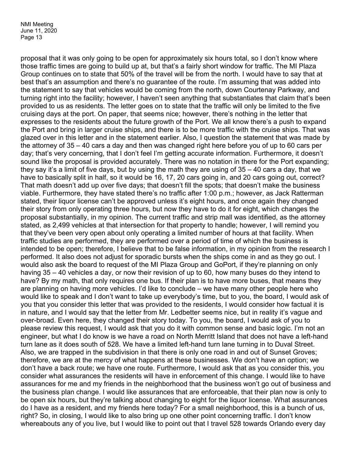proposal that it was only going to be open for approximately six hours total, so I don't know where those traffic times are going to build up at, but that's a fairly short window for traffic. The MI Plaza Group continues on to state that 50% of the travel will be from the north. I would have to say that at best that's an assumption and there's no guarantee of the route. I'm assuming that was added into the statement to say that vehicles would be coming from the north, down Courtenay Parkway, and turning right into the facility; however, I haven't seen anything that substantiates that claim that's been provided to us as residents. The letter goes on to state that the traffic will only be limited to the five cruising days at the port. On paper, that seems nice; however, there's nothing in the letter that expresses to the residents about the future growth of the Port. We all know there's a push to expand the Port and bring in larger cruise ships, and there is to be more traffic with the cruise ships. That was glazed over in this letter and in the statement earlier. Also, I question the statement that was made by the attorney of 35 – 40 cars a day and then was changed right here before you of up to 60 cars per day; that's very concerning, that I don't feel I'm getting accurate information. Furthermore, it doesn't sound like the proposal is provided accurately. There was no notation in there for the Port expanding; they say it's a limit of five days, but by using the math they are using of 35 – 40 cars a day, that we have to basically split in half, so it would be 16, 17, 20 cars going in, and 20 cars going out, correct? That math doesn't add up over five days; that doesn't fill the spots; that doesn't make the business viable. Furthermore, they have stated there's no traffic after 1:00 p.m.; however, as Jack Ratterman stated, their liquor license can't be approved unless it's eight hours, and once again they changed their story from only operating three hours, but now they have to do it for eight, which changes the proposal substantially, in my opinion. The current traffic and strip mall was identified, as the attorney stated, as 2,499 vehicles at that intersection for that property to handle; however, I will remind you that they've been very open about only operating a limited number of hours at that facility. When traffic studies are performed, they are performed over a period of time of which the business is intended to be open; therefore, I believe that to be false information, in my opinion from the research I performed. It also does not adjust for sporadic bursts when the ships come in and as they go out. I would also ask the board to request of the MI Plaza Group and GoPort, if they're planning on only having 35 – 40 vehicles a day, or now their revision of up to 60, how many buses do they intend to have? By my math, that only requires one bus. If their plan is to have more buses, that means they are planning on having more vehicles. I'd like to conclude – we have many other people here who would like to speak and I don't want to take up everybody's time, but to you, the board, I would ask of you that you consider this letter that was provided to the residents, I would consider how factual it is in nature, and I would say that the letter from Mr. Ledbetter seems nice, but in reality it's vague and over-broad. Even here, they changed their story today. To you, the board, I would ask of you to please review this request, I would ask that you do it with common sense and basic logic. I'm not an engineer, but what I do know is we have a road on North Merritt Island that does not have a left-hand turn lane as it does south of 528. We have a limited left-hand turn lane turning in to Duval Street. Also, we are trapped in the subdivision in that there is only one road in and out of Sunset Groves; therefore, we are at the mercy of what happens at these businesses. We don't have an option; we don't have a back route; we have one route. Furthermore, I would ask that as you consider this, you consider what assurances the residents will have in enforcement of this change. I would like to have assurances for me and my friends in the neighborhood that the business won't go out of business and the business plan change. I would like assurances that are enforceable, that their plan now is only to be open six hours, but they're talking about changing to eight for the liquor license. What assurances do I have as a resident, and my friends here today? For a small neighborhood, this is a bunch of us, right? So, in closing, I would like to also bring up one other point concerning traffic. I don't know whereabouts any of you live, but I would like to point out that I travel 528 towards Orlando every day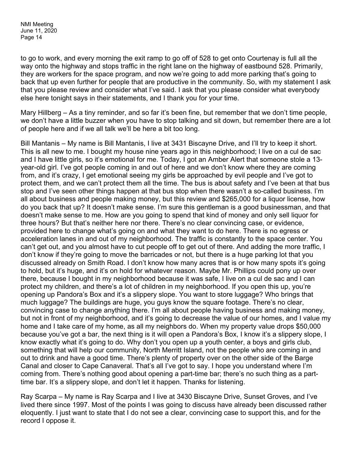to go to work, and every morning the exit ramp to go off of 528 to get onto Courtenay is full all the way onto the highway and stops traffic in the right lane on the highway of eastbound 528. Primarily, they are workers for the space program, and now we're going to add more parking that's going to back that up even further for people that are productive in the community. So, with my statement I ask that you please review and consider what I've said. I ask that you please consider what everybody else here tonight says in their statements, and I thank you for your time.

Mary Hillberg – As a tiny reminder, and so far it's been fine, but remember that we don't time people, we don't have a little buzzer when you have to stop talking and sit down, but remember there are a lot of people here and if we all talk we'll be here a bit too long.

Bill Mantanis – My name is Bill Mantanis, I live at 3431 Biscayne Drive, and I'll try to keep it short. This is all new to me. I bought my house nine years ago in this neighborhood; l live on a cul de sac and I have little girls, so it's emotional for me. Today, I got an Amber Alert that someone stole a 13 year-old girl. I've got people coming in and out of here and we don't know where they are coming from, and it's crazy, I get emotional seeing my girls be approached by evil people and I've got to protect them, and we can't protect them all the time. The bus is about safety and I've been at that bus stop and I've seen other things happen at that bus stop when there wasn't a so-called business. I'm all about business and people making money, but this review and \$265,000 for a liquor license, how do you back that up? It doesn't make sense. I'm sure this gentleman is a good businessman, and that doesn't make sense to me. How are you going to spend that kind of money and only sell liquor for three hours? But that's neither here nor there. There's no clear convincing case, or evidence, provided here to change what's going on and what they want to do here. There is no egress or acceleration lanes in and out of my neighborhood. The traffic is constantly to the space center. You can't get out, and you almost have to cut people off to get out of there. And adding the more traffic, I don't know if they're going to move the barricades or not, but there is a huge parking lot that you discussed already on Smith Road. I don't know how many acres that is or how many spots it's going to hold, but it's huge, and it's on hold for whatever reason. Maybe Mr. Phillips could pony up over there, because I bought in my neighborhood because it was safe, I live on a cul de sac and I can protect my children, and there's a lot of children in my neighborhood. If you open this up, you're opening up Pandora's Box and it's a slippery slope. You want to store luggage? Who brings that much luggage? The buildings are huge, you guys know the square footage. There's no clear, convincing case to change anything there. I'm all about people having business and making money, but not in front of my neighborhood, and it's going to decrease the value of our homes, and I value my home and I take care of my home, as all my neighbors do. When my property value drops \$50,000 because you've got a bar, the next thing is it will open a Pandora's Box, I know it's a slippery slope, I know exactly what it's going to do. Why don't you open up a youth center, a boys and girls club, something that will help our community, North Merritt Island, not the people who are coming in and out to drink and have a good time. There's plenty of property over on the other side of the Barge Canal and closer to Cape Canaveral. That's all I've got to say. I hope you understand where I'm coming from. There's nothing good about opening a part-time bar; there's no such thing as a parttime bar. It's a slippery slope, and don't let it happen. Thanks for listening.

Ray Scarpa – My name is Ray Scarpa and I live at 3430 Biscayne Drive, Sunset Groves, and I've lived there since 1997. Most of the points I was going to discuss have already been discussed rather eloquently. I just want to state that I do not see a clear, convincing case to support this, and for the record I oppose it.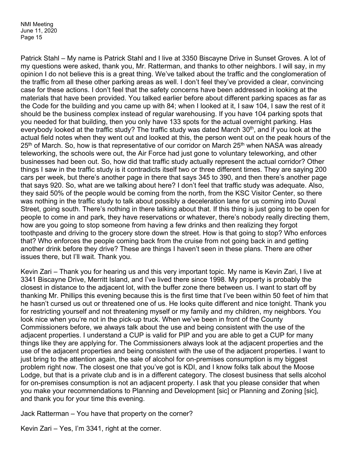Patrick Stahl – My name is Patrick Stahl and I live at 3350 Biscayne Drive in Sunset Groves. A lot of my questions were asked, thank you, Mr. Ratterman, and thanks to other neighbors. I will say, in my opinion I do not believe this is a great thing. We've talked about the traffic and the conglomeration of the traffic from all these other parking areas as well. I don't feel they've provided a clear, convincing case for these actions. I don't feel that the safety concerns have been addressed in looking at the materials that have been provided. You talked earlier before about different parking spaces as far as the Code for the building and you came up with 84; when I looked at it, I saw 104, I saw the rest of it should be the business complex instead of regular warehousing. If you have 104 parking spots that you needed for that building, then you only have 133 spots for the actual overnight parking. Has everybody looked at the traffic study? The traffic study was dated March  $30<sup>th</sup>$ , and if you look at the actual field notes when they went out and looked at this, the person went out on the peak hours of the 25<sup>th</sup> of March. So, how is that representative of our corridor on March 25<sup>th</sup> when NASA was already teleworking, the schools were out, the Air Force had just gone to voluntary teleworking, and other businesses had been out. So, how did that traffic study actually represent the actual corridor? Other things I saw in the traffic study is it contradicts itself two or three different times. They are saying 200 cars per week, but there's another page in there that says 345 to 390, and then there's another page that says 920. So, what are we talking about here? I don't feel that traffic study was adequate. Also, they said 50% of the people would be coming from the north, from the KSC Visitor Center, so there was nothing in the traffic study to talk about possibly a deceleration lane for us coming into Duval Street, going south. There's nothing in there talking about that. If this thing is just going to be open for people to come in and park, they have reservations or whatever, there's nobody really directing them, how are you going to stop someone from having a few drinks and then realizing they forgot toothpaste and driving to the grocery store down the street. How is that going to stop? Who enforces that? Who enforces the people coming back from the cruise from not going back in and getting another drink before they drive? These are things I haven't seen in these plans. There are other issues there, but I'll wait. Thank you.

Kevin Zari – Thank you for hearing us and this very important topic. My name is Kevin Zari, I live at 3341 Biscayne Drive, Merritt Island, and I've lived there since 1998. My property is probably the closest in distance to the adjacent lot, with the buffer zone there between us. I want to start off by thanking Mr. Phillips this evening because this is the first time that I've been within 50 feet of him that he hasn't cursed us out or threatened one of us. He looks quite different and nice tonight. Thank you for restricting yourself and not threatening myself or my family and my children, my neighbors. You look nice when you're not in the pick-up truck. When we've been in front of the County Commissioners before, we always talk about the use and being consistent with the use of the adjacent properties. I understand a CUP is valid for PIP and you are able to get a CUP for many things like they are applying for. The Commissioners always look at the adjacent properties and the use of the adjacent properties and being consistent with the use of the adjacent properties. I want to just bring to the attention again, the sale of alcohol for on-premises consumption is my biggest problem right now. The closest one that you've got is KDI, and I know folks talk about the Moose Lodge, but that is a private club and is in a different category. The closest business that sells alcohol for on-premises consumption is not an adjacent property. I ask that you please consider that when you make your recommendations to Planning and Development [sic] or Planning and Zoning [sic], and thank you for your time this evening.

Jack Ratterman – You have that property on the corner?

Kevin Zari – Yes, I'm 3341, right at the corner.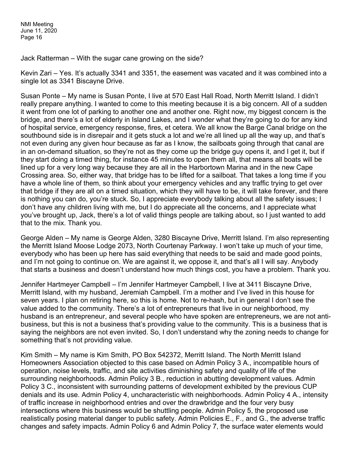Jack Ratterman – With the sugar cane growing on the side?

Kevin Zari – Yes. It's actually 3341 and 3351, the easement was vacated and it was combined into a single lot as 3341 Biscayne Drive.

Susan Ponte – My name is Susan Ponte, I live at 570 East Hall Road, North Merritt Island. I didn't really prepare anything. I wanted to come to this meeting because it is a big concern. All of a sudden it went from one lot of parking to another one and another one. Right now, my biggest concern is the bridge, and there's a lot of elderly in Island Lakes, and I wonder what they're going to do for any kind of hospital service, emergency response, fires, et cetera. We all know the Barge Canal bridge on the southbound side is in disrepair and it gets stuck a lot and we're all lined up all the way up, and that's not even during any given hour because as far as I know, the sailboats going through that canal are in an on-demand situation, so they're not as they come up the bridge guy opens it, and I get it, but if they start doing a timed thing, for instance 45 minutes to open them all, that means all boats will be lined up for a very long way because they are all in the Harbortown Marina and in the new Cape Crossing area. So, either way, that bridge has to be lifted for a sailboat. That takes a long time if you have a whole line of them, so think about your emergency vehicles and any traffic trying to get over that bridge if they are all on a timed situation, which they will have to be, it will take forever, and there is nothing you can do, you're stuck. So, I appreciate everybody talking about all the safety issues; I don't have any children living with me, but I do appreciate all the concerns, and I appreciate what you've brought up, Jack, there's a lot of valid things people are talking about, so I just wanted to add that to the mix. Thank you.

George Alden – My name is George Alden, 3280 Biscayne Drive, Merritt Island. I'm also representing the Merritt Island Moose Lodge 2073, North Courtenay Parkway. I won't take up much of your time, everybody who has been up here has said everything that needs to be said and made good points, and I'm not going to continue on. We are against it, we oppose it, and that's all I will say. Anybody that starts a business and doesn't understand how much things cost, you have a problem. Thank you.

Jennifer Hartmeyer Campbell – I'm Jennifer Hartmeyer Campbell, I live at 3411 Biscayne Drive, Merritt Island, with my husband, Jeremiah Campbell. I'm a mother and I've lived in this house for seven years. I plan on retiring here, so this is home. Not to re-hash, but in general I don't see the value added to the community. There's a lot of entrepreneurs that live in our neighborhood, my husband is an entrepreneur, and several people who have spoken are entrepreneurs, we are not antibusiness, but this is not a business that's providing value to the community. This is a business that is saying the neighbors are not even invited. So, I don't understand why the zoning needs to change for something that's not providing value.

Kim Smith – My name is Kim Smith, PO Box 542372, Merritt Island. The North Merritt Island Homeowners Association objected to this case based on Admin Policy 3 A., incompatible hours of operation, noise levels, traffic, and site activities diminishing safety and quality of life of the surrounding neighborhoods. Admin Policy 3 B., reduction in abutting development values. Admin Policy 3 C., inconsistent with surrounding patterns of development exhibited by the previous CUP denials and its use. Admin Policy 4, uncharacteristic with neighborhoods. Admin Policy 4 A., intensity of traffic increase in neighborhood entries and over the drawbridge and the four very busy intersections where this business would be shuttling people. Admin Policy 5, the proposed use realistically posing material danger to public safety. Admin Policies E., F., and G., the adverse traffic changes and safety impacts. Admin Policy 6 and Admin Policy 7, the surface water elements would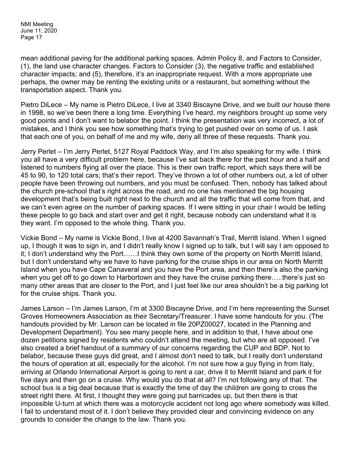mean additional paving for the additional parking spaces. Admin Policy 8, and Factors to Consider, (1), the land use character changes. Factors to Consider (3), the negative traffic and established character impacts; and (5), therefore, it's an inappropriate request. With a more appropriate use perhaps, the owner may be renting the existing units or a restaurant, but something without the transportation aspect. Thank you.

Pietro DiLece – My name is Pietro DiLece, I live at 3340 Biscayne Drive, and we built our house there in 1998, so we've been there a long time. Everything I've heard, my neighbors brought up some very good points and I don't want to belabor the point. I think the presentation was very incorrect, a lot of mistakes, and I think you see how something that's trying to get pushed over on some of us. I ask that each one of you, on behalf of me and my wife, deny all three of these requests. Thank you.

Jerry Perlet – I'm Jerry Perlet, 5127 Royal Paddock Way, and I'm also speaking for my wife. I think you all have a very difficult problem here, because I've sat back there for the past hour and a half and listened to numbers flying all over the place. This is their own traffic report, which says there will be 45 to 90, to 120 total cars; that's their report. They've thrown a lot of other numbers out, a lot of other people have been throwing out numbers, and you must be confused. Then, nobody has talked about the church pre-school that's right across the road, and no one has mentioned the big housing development that's being built right next to the church and all the traffic that will come from that, and we can't even agree on the number of parking spaces. If I were sitting in your chair I would be telling these people to go back and start over and get it right, because nobody can understand what it is they want. I'm opposed to the whole thing. Thank you.

Vickie Bond – My name is Vickie Bond, I live at 4200 Savannah's Trail, Merritt Island. When I signed up, I though it was to sign in, and I didn't really know I signed up to talk, but I will say I am opposed to it; I don't understand why the Port……I think they own some of the property on North Merritt Island, but I don't understand why we have to have parking for the cruise ships in our area on North Merritt Island when you have Cape Canaveral and you have the Port area, and then there's also the parking when you get off to go down to Harbortown and they have the cruise parking there....there's just so many other areas that are closer to the Port, and I just feel like our area shouldn't be a big parking lot for the cruise ships. Thank you.

James Larson – I'm James Larson, I'm at 3300 Biscayne Drive, and I'm here representing the Sunset Groves Homeowners Association as their Secretary/Treasurer. I have some handouts for you. (The handouts provided by Mr. Larson can be located in file 20PZ00027, located in the Planning and Development Department). You see many people here, and in addition to that, I have about one dozen petitions signed by residents who couldn't attend the meeting, but who are all opposed. I've also created a brief handout of a summary of our concerns regarding the CUP and BDP. Not to belabor, because these guys did great, and I almost don't need to talk, but I really don't understand the hours of operation at all, especially for the alcohol. I'm not sure how a guy flying in from Italy, arriving at Orlando International Airport is going to rent a car, drive it to Merritt Island and park it for five days and then go on a cruise. Why would you do that at all? I'm not following any of that. The school bus is a big deal because that is exactly the time of day the children are going to cross the street right there. At first, I thought they were going put barricades up, but then there is that impossible U-turn at which there was a motorcycle accident not long ago where somebody was killed. I fail to understand most of it. I don't believe they provided clear and convincing evidence on any grounds to consider the change to the law. Thank you.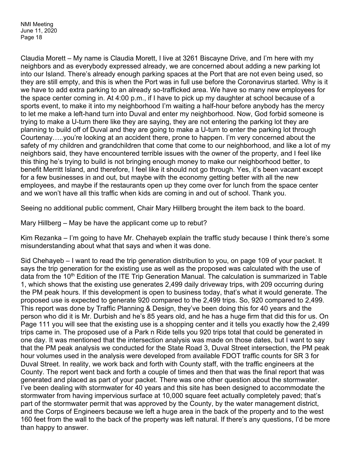Claudia Morett – My name is Claudia Morett, I live at 3261 Biscayne Drive, and I'm here with my neighbors and as everybody expressed already, we are concerned about adding a new parking lot into our Island. There's already enough parking spaces at the Port that are not even being used, so they are still empty, and this is when the Port was in full use before the Coronavirus started. Why is it we have to add extra parking to an already so-trafficked area. We have so many new employees for the space center coming in. At 4:00 p.m., if I have to pick up my daughter at school because of a sports event, to make it into my neighborhood I'm waiting a half-hour before anybody has the mercy to let me make a left-hand turn into Duval and enter my neighborhood. Now, God forbid someone is trying to make a U-turn there like they are saying, they are not entering the parking lot they are planning to build off of Duval and they are going to make a U-turn to enter the parking lot through Courtenay…..you're looking at an accident there, prone to happen. I'm very concerned about the safety of my children and grandchildren that come that come to our neighborhood, and like a lot of my neighbors said, they have encountered terrible issues with the owner of the property, and I feel like this thing he's trying to build is not bringing enough money to make our neighborhood better, to benefit Merritt Island, and therefore, I feel like it should not go through. Yes, it's been vacant except for a few businesses in and out, but maybe with the economy getting better with all the new employees, and maybe if the restaurants open up they come over for lunch from the space center and we won't have all this traffic when kids are coming in and out of school. Thank you.

Seeing no additional public comment, Chair Mary Hillberg brought the item back to the board.

Mary Hillberg – May be have the applicant come up to rebut?

Kim Rezanka – I'm going to have Mr. Chehayeb explain the traffic study because I think there's some misunderstanding about what that says and when it was done.

Sid Chehayeb – I want to read the trip generation distribution to you, on page 109 of your packet. It says the trip generation for the existing use as well as the proposed was calculated with the use of data from the 10<sup>th</sup> Edition of the ITE Trip Generation Manual. The calculation is summarized in Table 1, which shows that the existing use generates 2,499 daily driveway trips, with 209 occurring during the PM peak hours. If this development is open to business today, that's what it would generate. The proposed use is expected to generate 920 compared to the 2,499 trips. So, 920 compared to 2,499. This report was done by Traffic Planning & Design, they've been doing this for 40 years and the person who did it is Mr. Durbish and he's 85 years old, and he has a huge firm that did this for us. On Page 111 you will see that the existing use is a shopping center and it tells you exactly how the 2,499 trips came in. The proposed use of a Park n Ride tells you 920 trips total that could be generated in one day. It was mentioned that the intersection analysis was made on those dates, but I want to say that the PM peak analysis we conducted for the State Road 3, Duval Street intersection, the PM peak hour volumes used in the analysis were developed from available FDOT traffic counts for SR 3 for Duval Street. In reality, we work back and forth with County staff, with the traffic engineers at the County. The report went back and forth a couple of times and then that was the final report that was generated and placed as part of your packet. There was one other question about the stormwater. I've been dealing with stormwater for 40 years and this site has been designed to accommodate the stormwater from having impervious surface at 10,000 square feet actually completely paved; that's part of the stormwater permit that was approved by the County, by the water management district, and the Corps of Engineers because we left a huge area in the back of the property and to the west 160 feet from the wall to the back of the property was left natural. If there's any questions, I'd be more than happy to answer.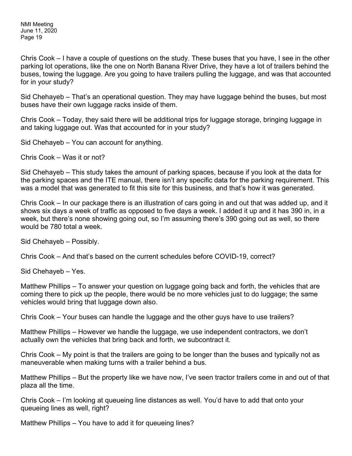Chris Cook – I have a couple of questions on the study. These buses that you have, I see in the other parking lot operations, like the one on North Banana River Drive, they have a lot of trailers behind the buses, towing the luggage. Are you going to have trailers pulling the luggage, and was that accounted for in your study?

Sid Chehayeb – That's an operational question. They may have luggage behind the buses, but most buses have their own luggage racks inside of them.

Chris Cook – Today, they said there will be additional trips for luggage storage, bringing luggage in and taking luggage out. Was that accounted for in your study?

Sid Chehayeb – You can account for anything.

Chris Cook – Was it or not?

Sid Chehayeb – This study takes the amount of parking spaces, because if you look at the data for the parking spaces and the ITE manual, there isn't any specific data for the parking requirement. This was a model that was generated to fit this site for this business, and that's how it was generated.

Chris Cook – In our package there is an illustration of cars going in and out that was added up, and it shows six days a week of traffic as opposed to five days a week. I added it up and it has 390 in, in a week, but there's none showing going out, so I'm assuming there's 390 going out as well, so there would be 780 total a week.

Sid Chehayeb – Possibly.

Chris Cook – And that's based on the current schedules before COVID-19, correct?

Sid Chehayeb – Yes.

Matthew Phillips – To answer your question on luggage going back and forth, the vehicles that are coming there to pick up the people, there would be no more vehicles just to do luggage; the same vehicles would bring that luggage down also.

Chris Cook – Your buses can handle the luggage and the other guys have to use trailers?

Matthew Phillips – However we handle the luggage, we use independent contractors, we don't actually own the vehicles that bring back and forth, we subcontract it.

Chris Cook – My point is that the trailers are going to be longer than the buses and typically not as maneuverable when making turns with a trailer behind a bus.

Matthew Phillips – But the property like we have now, I've seen tractor trailers come in and out of that plaza all the time.

Chris Cook – I'm looking at queueing line distances as well. You'd have to add that onto your queueing lines as well, right?

Matthew Phillips – You have to add it for queueing lines?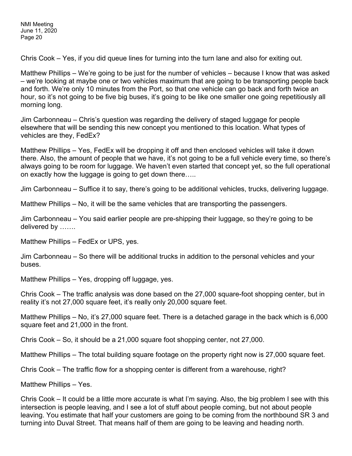Chris Cook – Yes, if you did queue lines for turning into the turn lane and also for exiting out.

Matthew Phillips – We're going to be just for the number of vehicles – because I know that was asked – we're looking at maybe one or two vehicles maximum that are going to be transporting people back and forth. We're only 10 minutes from the Port, so that one vehicle can go back and forth twice an hour, so it's not going to be five big buses, it's going to be like one smaller one going repetitiously all morning long.

Jim Carbonneau – Chris's question was regarding the delivery of staged luggage for people elsewhere that will be sending this new concept you mentioned to this location. What types of vehicles are they, FedEx?

Matthew Phillips – Yes, FedEx will be dropping it off and then enclosed vehicles will take it down there. Also, the amount of people that we have, it's not going to be a full vehicle every time, so there's always going to be room for luggage. We haven't even started that concept yet, so the full operational on exactly how the luggage is going to get down there…..

Jim Carbonneau – Suffice it to say, there's going to be additional vehicles, trucks, delivering luggage.

Matthew Phillips – No, it will be the same vehicles that are transporting the passengers.

Jim Carbonneau – You said earlier people are pre-shipping their luggage, so they're going to be delivered by …….

Matthew Phillips – FedEx or UPS, yes.

Jim Carbonneau – So there will be additional trucks in addition to the personal vehicles and your buses.

Matthew Phillips – Yes, dropping off luggage, yes.

Chris Cook – The traffic analysis was done based on the 27,000 square-foot shopping center, but in reality it's not 27,000 square feet, it's really only 20,000 square feet.

Matthew Phillips – No, it's 27,000 square feet. There is a detached garage in the back which is 6,000 square feet and 21,000 in the front.

Chris Cook – So, it should be a 21,000 square foot shopping center, not 27,000.

Matthew Phillips – The total building square footage on the property right now is 27,000 square feet.

Chris Cook – The traffic flow for a shopping center is different from a warehouse, right?

Matthew Phillips – Yes.

Chris Cook – It could be a little more accurate is what I'm saying. Also, the big problem I see with this intersection is people leaving, and I see a lot of stuff about people coming, but not about people leaving. You estimate that half your customers are going to be coming from the northbound SR 3 and turning into Duval Street. That means half of them are going to be leaving and heading north.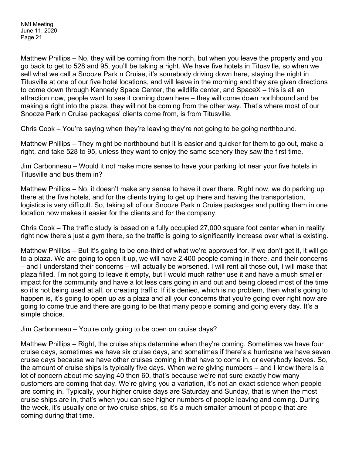Matthew Phillips – No, they will be coming from the north, but when you leave the property and you go back to get to 528 and 95, you'll be taking a right. We have five hotels in Titusville, so when we sell what we call a Snooze Park n Cruise, it's somebody driving down here, staying the night in Titusville at one of our five hotel locations, and will leave in the morning and they are given directions to come down through Kennedy Space Center, the wildlife center, and SpaceX – this is all an attraction now, people want to see it coming down here – they will come down northbound and be making a right into the plaza, they will not be coming from the other way. That's where most of our Snooze Park n Cruise packages' clients come from, is from Titusville.

Chris Cook – You're saying when they're leaving they're not going to be going northbound.

Matthew Phillips – They might be northbound but it is easier and quicker for them to go out, make a right, and take 528 to 95, unless they want to enjoy the same scenery they saw the first time.

Jim Carbonneau – Would it not make more sense to have your parking lot near your five hotels in Titusville and bus them in?

Matthew Phillips – No, it doesn't make any sense to have it over there. Right now, we do parking up there at the five hotels, and for the clients trying to get up there and having the transportation, logistics is very difficult. So, taking all of our Snooze Park n Cruise packages and putting them in one location now makes it easier for the clients and for the company.

Chris Cook – The traffic study is based on a fully occupied 27,000 square foot center when in reality right now there's just a gym there, so the traffic is going to significantly increase over what is existing.

Matthew Phillips – But it's going to be one-third of what we're approved for. If we don't get it, it will go to a plaza. We are going to open it up, we will have 2,400 people coming in there, and their concerns – and I understand their concerns – will actually be worsened. I will rent all those out, I will make that plaza filled, I'm not going to leave it empty, but I would much rather use it and have a much smaller impact for the community and have a lot less cars going in and out and being closed most of the time so it's not being used at all, or creating traffic. If it's denied, which is no problem, then what's going to happen is, it's going to open up as a plaza and all your concerns that you're going over right now are going to come true and there are going to be that many people coming and going every day. It's a simple choice.

Jim Carbonneau – You're only going to be open on cruise days?

Matthew Phillips – Right, the cruise ships determine when they're coming. Sometimes we have four cruise days, sometimes we have six cruise days, and sometimes if there's a hurricane we have seven cruise days because we have other cruises coming in that have to come in, or everybody leaves. So, the amount of cruise ships is typically five days. When we're giving numbers – and I know there is a lot of concern about me saying 40 then 60, that's because we're not sure exactly how many customers are coming that day. We're giving you a variation, it's not an exact science when people are coming in. Typically, your higher cruise days are Saturday and Sunday, that is when the most cruise ships are in, that's when you can see higher numbers of people leaving and coming. During the week, it's usually one or two cruise ships, so it's a much smaller amount of people that are coming during that time.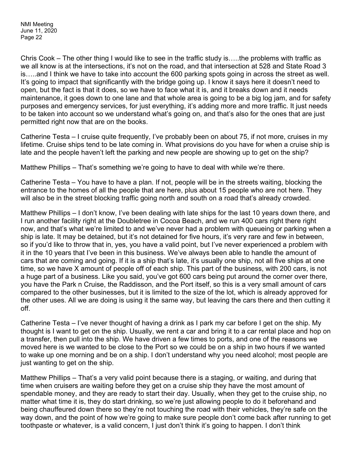Chris Cook – The other thing I would like to see in the traffic study is…..the problems with traffic as we all know is at the intersections, it's not on the road, and that intersection at 528 and State Road 3 is…..and I think we have to take into account the 600 parking spots going in across the street as well. It's going to impact that significantly with the bridge going up. I know it says here it doesn't need to open, but the fact is that it does, so we have to face what it is, and it breaks down and it needs maintenance, it goes down to one lane and that whole area is going to be a big log jam, and for safety purposes and emergency services, for just everything, it's adding more and more traffic. It just needs to be taken into account so we understand what's going on, and that's also for the ones that are just permitted right now that are on the books.

Catherine Testa – I cruise quite frequently, I've probably been on about 75, if not more, cruises in my lifetime. Cruise ships tend to be late coming in. What provisions do you have for when a cruise ship is late and the people haven't left the parking and new people are showing up to get on the ship?

Matthew Phillips – That's something we're going to have to deal with while we're there.

Catherine Testa – You have to have a plan. If not, people will be in the streets waiting, blocking the entrance to the homes of all the people that are here, plus about 15 people who are not here. They will also be in the street blocking traffic going north and south on a road that's already crowded.

Matthew Phillips – I don't know, I've been dealing with late ships for the last 10 years down there, and I run another facility right at the Doubletree in Cocoa Beach, and we run 400 cars right there right now, and that's what we're limited to and we've never had a problem with queueing or parking when a ship is late. It may be detained, but it's not detained for five hours, it's very rare and few in between, so if you'd like to throw that in, yes, you have a valid point, but I've never experienced a problem with it in the 10 years that I've been in this business. We've always been able to handle the amount of cars that are coming and going. If it is a ship that's late, it's usually one ship, not all five ships at one time, so we have X amount of people off of each ship. This part of the business, with 200 cars, is not a huge part of a business. Like you said, you've got 600 cars being put around the corner over there, you have the Park n Cruise, the Raddisson, and the Port itself, so this is a very small amount of cars compared to the other businesses, but it is limited to the size of the lot, which is already approved for the other uses. All we are doing is using it the same way, but leaving the cars there and then cutting it off.

Catherine Testa – I've never thought of having a drink as I park my car before I get on the ship. My thought is I want to get on the ship. Usually, we rent a car and bring it to a car rental place and hop on a transfer, then pull into the ship. We have driven a few times to ports, and one of the reasons we moved here is we wanted to be close to the Port so we could be on a ship in two hours if we wanted to wake up one morning and be on a ship. I don't understand why you need alcohol; most people are just wanting to get on the ship.

Matthew Phillips – That's a very valid point because there is a staging, or waiting, and during that time when cruisers are waiting before they get on a cruise ship they have the most amount of spendable money, and they are ready to start their day. Usually, when they get to the cruise ship, no matter what time it is, they do start drinking, so we're just allowing people to do it beforehand and being chauffeured down there so they're not touching the road with their vehicles, they're safe on the way down, and the point of how we're going to make sure people don't come back after running to get toothpaste or whatever, is a valid concern, I just don't think it's going to happen. I don't think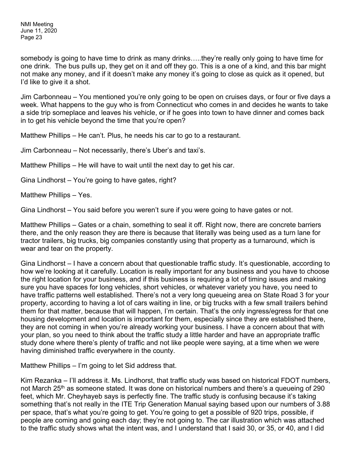somebody is going to have time to drink as many drinks…..they're really only going to have time for one drink. The bus pulls up, they get on it and off they go. This is a one of a kind, and this bar might not make any money, and if it doesn't make any money it's going to close as quick as it opened, but I'd like to give it a shot.

Jim Carbonneau – You mentioned you're only going to be open on cruises days, or four or five days a week. What happens to the guy who is from Connecticut who comes in and decides he wants to take a side trip someplace and leaves his vehicle, or if he goes into town to have dinner and comes back in to get his vehicle beyond the time that you're open?

Matthew Phillips – He can't. Plus, he needs his car to go to a restaurant.

Jim Carbonneau – Not necessarily, there's Uber's and taxi's.

Matthew Phillips – He will have to wait until the next day to get his car.

Gina Lindhorst – You're going to have gates, right?

Matthew Phillips – Yes.

Gina Lindhorst – You said before you weren't sure if you were going to have gates or not.

Matthew Phillips – Gates or a chain, something to seal it off. Right now, there are concrete barriers there, and the only reason they are there is because that literally was being used as a turn lane for tractor trailers, big trucks, big companies constantly using that property as a turnaround, which is wear and tear on the property.

Gina Lindhorst – I have a concern about that questionable traffic study. It's questionable, according to how we're looking at it carefully. Location is really important for any business and you have to choose the right location for your business, and if this business is requiring a lot of timing issues and making sure you have spaces for long vehicles, short vehicles, or whatever variety you have, you need to have traffic patterns well established. There's not a very long queueing area on State Road 3 for your property, according to having a lot of cars waiting in line, or big trucks with a few small trailers behind them for that matter, because that will happen, I'm certain. That's the only ingress/egress for that one housing development and location is important for them, especially since they are established there, they are not coming in when you're already working your business. I have a concern about that with your plan, so you need to think about the traffic study a little harder and have an appropriate traffic study done where there's plenty of traffic and not like people were saying, at a time when we were having diminished traffic everywhere in the county.

Matthew Phillips – I'm going to let Sid address that.

Kim Rezanka – I'll address it. Ms. Lindhorst, that traffic study was based on historical FDOT numbers, not March 25<sup>th</sup> as someone stated. It was done on historical numbers and there's a queueing of 290 feet, which Mr. Cheyhayeb says is perfectly fine. The traffic study is confusing because it's taking something that's not really in the ITE Trip Generation Manual saying based upon our numbers of 3.88 per space, that's what you're going to get. You're going to get a possible of 920 trips, possible, if people are coming and going each day; they're not going to. The car illustration which was attached to the traffic study shows what the intent was, and I understand that I said 30, or 35, or 40, and I did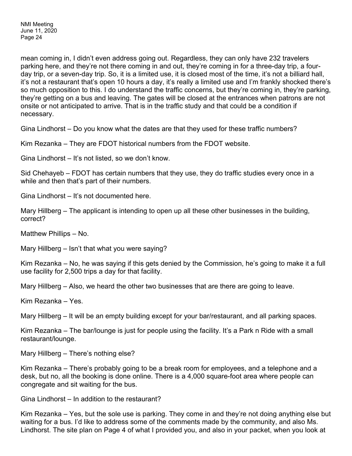mean coming in, I didn't even address going out. Regardless, they can only have 232 travelers parking here, and they're not there coming in and out, they're coming in for a three-day trip, a fourday trip, or a seven-day trip. So, it is a limited use, it is closed most of the time, it's not a billiard hall, it's not a restaurant that's open 10 hours a day, it's really a limited use and I'm frankly shocked there's so much opposition to this. I do understand the traffic concerns, but they're coming in, they're parking, they're getting on a bus and leaving. The gates will be closed at the entrances when patrons are not onsite or not anticipated to arrive. That is in the traffic study and that could be a condition if necessary.

Gina Lindhorst – Do you know what the dates are that they used for these traffic numbers?

Kim Rezanka – They are FDOT historical numbers from the FDOT website.

Gina Lindhorst – It's not listed, so we don't know.

Sid Chehayeb – FDOT has certain numbers that they use, they do traffic studies every once in a while and then that's part of their numbers.

Gina Lindhorst – It's not documented here.

Mary Hillberg – The applicant is intending to open up all these other businesses in the building, correct?

Matthew Phillips – No.

Mary Hillberg – Isn't that what you were saying?

Kim Rezanka – No, he was saying if this gets denied by the Commission, he's going to make it a full use facility for 2,500 trips a day for that facility.

Mary Hillberg – Also, we heard the other two businesses that are there are going to leave.

Kim Rezanka – Yes.

Mary Hillberg – It will be an empty building except for your bar/restaurant, and all parking spaces.

Kim Rezanka – The bar/lounge is just for people using the facility. It's a Park n Ride with a small restaurant/lounge.

Mary Hillberg – There's nothing else?

Kim Rezanka – There's probably going to be a break room for employees, and a telephone and a desk, but no, all the booking is done online. There is a 4,000 square-foot area where people can congregate and sit waiting for the bus.

Gina Lindhorst – In addition to the restaurant?

Kim Rezanka – Yes, but the sole use is parking. They come in and they're not doing anything else but waiting for a bus. I'd like to address some of the comments made by the community, and also Ms. Lindhorst. The site plan on Page 4 of what I provided you, and also in your packet, when you look at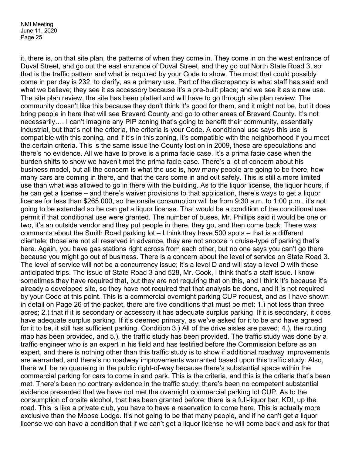it, there is, on that site plan, the patterns of when they come in. They come in on the west entrance of Duval Street, and go out the east entrance of Duval Street, and they go out North State Road 3, so that is the traffic pattern and what is required by your Code to show. The most that could possibly come in per day is 232, to clarify, as a primary use. Part of the discrepancy is what staff has said and what we believe; they see it as accessory because it's a pre-built place; and we see it as a new use. The site plan review, the site has been platted and will have to go through site plan review. The community doesn't like this because they don't think it's good for them, and it might not be, but it does bring people in here that will see Brevard County and go to other areas of Brevard County. It's not necessarily…. I can't imagine any PIP zoning that's going to benefit their community, essentially industrial, but that's not the criteria, the criteria is your Code. A conditional use says this use is compatible with this zoning, and if it's in this zoning, it's compatible with the neighborhood if you meet the certain criteria. This is the same issue the County lost on in 2009, these are speculations and there's no evidence. All we have to prove is a prima facie case. It's a prima facie case when the burden shifts to show we haven't met the prima facie case. There's a lot of concern about his business model, but all the concern is what the use is, how many people are going to be there, how many cars are coming in there, and that the cars come in and out safely. This is still a more limited use than what was allowed to go in there with the building. As to the liquor license, the liquor hours, if he can get a license – and there's waiver provisions to that application, there's ways to get a liquor license for less than \$265,000, so the onsite consumption will be from 9:30 a.m. to 1:00 p.m., it's not going to be extended so he can get a liquor license. That would be a condition of the conditional use permit if that conditional use were granted. The number of buses, Mr. Phillips said it would be one or two, it's an outside vendor and they put people in there, they go, and then come back. There was comments about the Smith Road parking lot – I think they have 500 spots – that is a different clientele; those are not all reserved in advance, they are not snooze n cruise-type of parking that's here. Again, you have gas stations right across from each other, but no one says you can't go there because you might go out of business. There is a concern about the level of service on State Road 3. The level of service will not be a concurrency issue; it's a level D and will stay a level D with these anticipated trips. The issue of State Road 3 and 528, Mr. Cook, I think that's a staff issue. I know sometimes they have required that, but they are not requiring that on this, and I think it's because it's already a developed site, so they have not required that that analysis be done, and it is not required by your Code at this point. This is a commercial overnight parking CUP request, and as I have shown in detail on Page 26 of the packet, there are five conditions that must be met: 1.) not less than three acres; 2.) that if it is secondary or accessory it has adequate surplus parking. If it is secondary, it does have adequate surplus parking. If it's deemed primary, as we've asked for it to be and have agreed for it to be, it still has sufficient parking. Condition 3.) All of the drive aisles are paved; 4.), the routing map has been provided, and 5.), the traffic study has been provided. The traffic study was done by a traffic engineer who is an expert in his field and has testified before the Commission before as an expert, and there is nothing other than this traffic study is to show if additional roadway improvements are warranted, and there's no roadway improvements warranted based upon this traffic study. Also, there will be no queueing in the public right-of-way because there's substantial space within the commercial parking for cars to come in and park. This is the criteria, and this is the criteria that's been met. There's been no contrary evidence in the traffic study; there's been no competent substantial evidence presented that we have not met the overnight commercial parking lot CUP. As to the consumption of onsite alcohol, that has been granted before; there is a full-liquor bar, KDI, up the road. This is like a private club, you have to have a reservation to come here. This is actually more exclusive than the Moose Lodge. It's not going to be that many people, and if he can't get a liquor license we can have a condition that if we can't get a liquor license he will come back and ask for that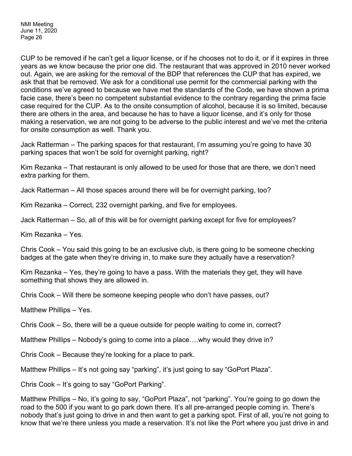CUP to be removed if he can't get a liquor license, or if he chooses not to do it, or if it expires in three years as we know because the prior one did. The restaurant that was approved in 2010 never worked out. Again, we are asking for the removal of the BDP that references the CUP that has expired, we ask that that be removed. We ask for a conditional use permit for the commercial parking with the conditions we've agreed to because we have met the standards of the Code, we have shown a prima facie case, there's been no competent substantial evidence to the contrary regarding the prima facie case required for the CUP. As to the onsite consumption of alcohol, because it is so limited, because there are others in the area, and because he has to have a liquor license, and it's only for those making a reservation, we are not going to be adverse to the public interest and we've met the criteria for onsite consumption as well. Thank you.

Jack Ratterman – The parking spaces for that restaurant, I'm assuming you're going to have 30 parking spaces that won't be sold for overnight parking, right?

Kim Rezanka – That restaurant is only allowed to be used for those that are there, we don't need extra parking for them.

Jack Ratterman – All those spaces around there will be for overnight parking, too?

Kim Rezanka – Correct, 232 overnight parking, and five for employees.

Jack Ratterman – So, all of this will be for overnight parking except for five for employees?

Kim Rezanka – Yes.

Chris Cook – You said this going to be an exclusive club, is there going to be someone checking badges at the gate when they're driving in, to make sure they actually have a reservation?

Kim Rezanka – Yes, they're going to have a pass. With the materials they get, they will have something that shows they are allowed in.

Chris Cook – Will there be someone keeping people who don't have passes, out?

Matthew Phillips – Yes.

Chris Cook – So, there will be a queue outside for people waiting to come in, correct?

Matthew Phillips – Nobody's going to come into a place….why would they drive in?

Chris Cook – Because they're looking for a place to park.

Matthew Phillips – It's not going say "parking", it's just going to say "GoPort Plaza".

Chris Cook – It's going to say "GoPort Parking".

Matthew Phillips – No, it's going to say, "GoPort Plaza", not "parking". You're going to go down the road to the 500 if you want to go park down there. It's all pre-arranged people coming in. There's nobody that's just going to drive in and then want to get a parking spot. First of all, you're not going to know that we're there unless you made a reservation. It's not like the Port where you just drive in and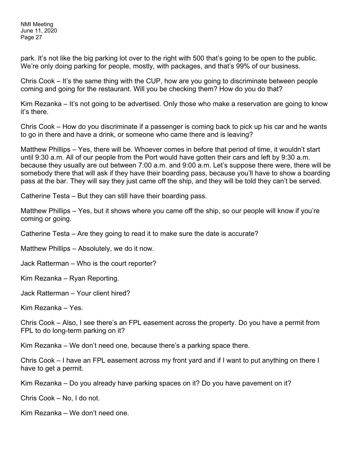park. It's not like the big parking lot over to the right with 500 that's going to be open to the public. We're only doing parking for people, mostly, with packages, and that's 99% of our business.

Chris Cook – It's the same thing with the CUP, how are you going to discriminate between people coming and going for the restaurant. Will you be checking them? How do you do that?

Kim Rezanka – It's not going to be advertised. Only those who make a reservation are going to know it's there.

Chris Cook – How do you discriminate if a passenger is coming back to pick up his car and he wants to go in there and have a drink, or someone who came there and is leaving?

Matthew Phillips – Yes, there will be. Whoever comes in before that period of time, it wouldn't start until 9:30 a.m. All of our people from the Port would have gotten their cars and left by 9:30 a.m. because they usually are out between 7:00 a.m. and 9:00 a.m. Let's suppose there were, there will be somebody there that will ask if they have their boarding pass, because you'll have to show a boarding pass at the bar. They will say they just came off the ship, and they will be told they can't be served.

Catherine Testa – But they can still have their boarding pass.

Matthew Phillips – Yes, but it shows where you came off the ship, so our people will know if you're coming or going.

Catherine Testa – Are they going to read it to make sure the date is accurate?

Matthew Phillips – Absolutely, we do it now.

Jack Ratterman – Who is the court reporter?

Kim Rezanka – Ryan Reporting.

Jack Ratterman – Your client hired?

Kim Rezanka – Yes.

Chris Cook – Also, I see there's an FPL easement across the property. Do you have a permit from FPL to do long-term parking on it?

Kim Rezanka – We don't need one, because there's a parking space there.

Chris Cook – I have an FPL easement across my front yard and if I want to put anything on there I have to get a permit.

Kim Rezanka – Do you already have parking spaces on it? Do you have pavement on it?

Chris Cook – No, I do not.

Kim Rezanka – We don't need one.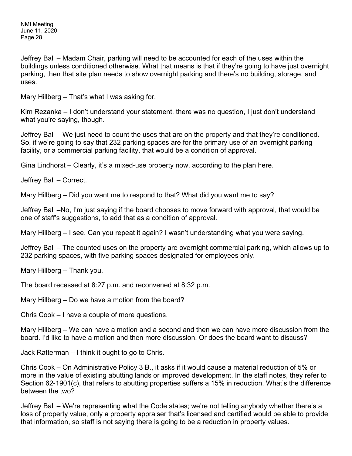Jeffrey Ball – Madam Chair, parking will need to be accounted for each of the uses within the buildings unless conditioned otherwise. What that means is that if they're going to have just overnight parking, then that site plan needs to show overnight parking and there's no building, storage, and uses.

Mary Hillberg – That's what I was asking for.

Kim Rezanka – I don't understand your statement, there was no question, I just don't understand what you're saying, though.

Jeffrey Ball – We just need to count the uses that are on the property and that they're conditioned. So, if we're going to say that 232 parking spaces are for the primary use of an overnight parking facility, or a commercial parking facility, that would be a condition of approval.

Gina Lindhorst – Clearly, it's a mixed-use property now, according to the plan here.

Jeffrey Ball – Correct.

Mary Hillberg – Did you want me to respond to that? What did you want me to say?

Jeffrey Ball –No, I'm just saying if the board chooses to move forward with approval, that would be one of staff's suggestions, to add that as a condition of approval.

Mary Hillberg – I see. Can you repeat it again? I wasn't understanding what you were saying.

Jeffrey Ball – The counted uses on the property are overnight commercial parking, which allows up to 232 parking spaces, with five parking spaces designated for employees only.

Mary Hillberg – Thank you.

The board recessed at 8:27 p.m. and reconvened at 8:32 p.m.

Mary Hillberg – Do we have a motion from the board?

Chris Cook – I have a couple of more questions.

Mary Hillberg – We can have a motion and a second and then we can have more discussion from the board. I'd like to have a motion and then more discussion. Or does the board want to discuss?

Jack Ratterman – I think it ought to go to Chris.

Chris Cook – On Administrative Policy 3 B., it asks if it would cause a material reduction of 5% or more in the value of existing abutting lands or improved development. In the staff notes, they refer to Section 62-1901(c), that refers to abutting properties suffers a 15% in reduction. What's the difference between the two?

Jeffrey Ball – We're representing what the Code states; we're not telling anybody whether there's a loss of property value, only a property appraiser that's licensed and certified would be able to provide that information, so staff is not saying there is going to be a reduction in property values.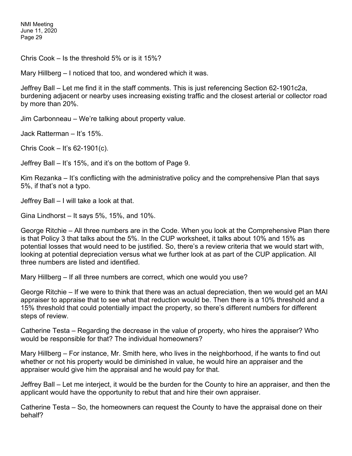Chris Cook – Is the threshold 5% or is it 15%?

Mary Hillberg – I noticed that too, and wondered which it was.

Jeffrey Ball – Let me find it in the staff comments. This is just referencing Section 62-1901c2a, burdening adjacent or nearby uses increasing existing traffic and the closest arterial or collector road by more than 20%.

Jim Carbonneau – We're talking about property value.

Jack Ratterman – It's 15%.

Chris Cook – It's 62-1901(c).

Jeffrey Ball – It's 15%, and it's on the bottom of Page 9.

Kim Rezanka – It's conflicting with the administrative policy and the comprehensive Plan that says 5%, if that's not a typo.

Jeffrey Ball – I will take a look at that.

Gina Lindhorst – It says 5%, 15%, and 10%.

George Ritchie – All three numbers are in the Code. When you look at the Comprehensive Plan there is that Policy 3 that talks about the 5%. In the CUP worksheet, it talks about 10% and 15% as potential losses that would need to be justified. So, there's a review criteria that we would start with, looking at potential depreciation versus what we further look at as part of the CUP application. All three numbers are listed and identified.

Mary Hillberg – If all three numbers are correct, which one would you use?

George Ritchie – If we were to think that there was an actual depreciation, then we would get an MAI appraiser to appraise that to see what that reduction would be. Then there is a 10% threshold and a 15% threshold that could potentially impact the property, so there's different numbers for different steps of review.

Catherine Testa – Regarding the decrease in the value of property, who hires the appraiser? Who would be responsible for that? The individual homeowners?

Mary Hillberg – For instance, Mr. Smith here, who lives in the neighborhood, if he wants to find out whether or not his property would be diminished in value, he would hire an appraiser and the appraiser would give him the appraisal and he would pay for that.

Jeffrey Ball – Let me interject, it would be the burden for the County to hire an appraiser, and then the applicant would have the opportunity to rebut that and hire their own appraiser.

Catherine Testa – So, the homeowners can request the County to have the appraisal done on their behalf?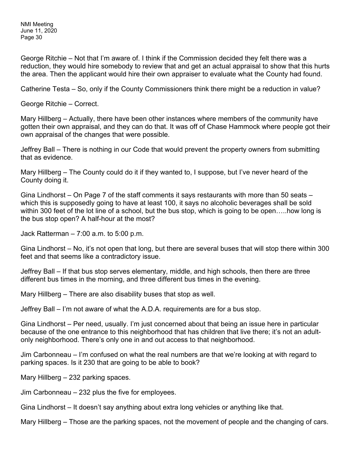George Ritchie – Not that I'm aware of. I think if the Commission decided they felt there was a reduction, they would hire somebody to review that and get an actual appraisal to show that this hurts the area. Then the applicant would hire their own appraiser to evaluate what the County had found.

Catherine Testa – So, only if the County Commissioners think there might be a reduction in value?

George Ritchie – Correct.

Mary Hillberg – Actually, there have been other instances where members of the community have gotten their own appraisal, and they can do that. It was off of Chase Hammock where people got their own appraisal of the changes that were possible.

Jeffrey Ball – There is nothing in our Code that would prevent the property owners from submitting that as evidence.

Mary Hillberg – The County could do it if they wanted to, I suppose, but I've never heard of the County doing it.

Gina Lindhorst – On Page 7 of the staff comments it says restaurants with more than 50 seats – which this is supposedly going to have at least 100, it says no alcoholic beverages shall be sold within 300 feet of the lot line of a school, but the bus stop, which is going to be open…..how long is the bus stop open? A half-hour at the most?

Jack Ratterman – 7:00 a.m. to 5:00 p.m.

Gina Lindhorst – No, it's not open that long, but there are several buses that will stop there within 300 feet and that seems like a contradictory issue.

Jeffrey Ball – If that bus stop serves elementary, middle, and high schools, then there are three different bus times in the morning, and three different bus times in the evening.

Mary Hillberg – There are also disability buses that stop as well.

Jeffrey Ball – I'm not aware of what the A.D.A. requirements are for a bus stop.

Gina Lindhorst – Per need, usually. I'm just concerned about that being an issue here in particular because of the one entrance to this neighborhood that has children that live there; it's not an adultonly neighborhood. There's only one in and out access to that neighborhood.

Jim Carbonneau – I'm confused on what the real numbers are that we're looking at with regard to parking spaces. Is it 230 that are going to be able to book?

Mary Hillberg – 232 parking spaces.

Jim Carbonneau – 232 plus the five for employees.

Gina Lindhorst – It doesn't say anything about extra long vehicles or anything like that.

Mary Hillberg – Those are the parking spaces, not the movement of people and the changing of cars.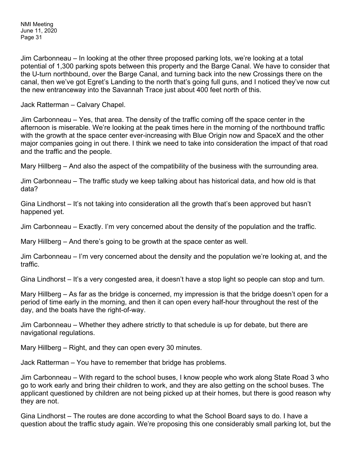Jim Carbonneau – In looking at the other three proposed parking lots, we're looking at a total potential of 1,300 parking spots between this property and the Barge Canal. We have to consider that the U-turn northbound, over the Barge Canal, and turning back into the new Crossings there on the canal, then we've got Egret's Landing to the north that's going full guns, and I noticed they've now cut the new entranceway into the Savannah Trace just about 400 feet north of this.

Jack Ratterman – Calvary Chapel.

Jim Carbonneau – Yes, that area. The density of the traffic coming off the space center in the afternoon is miserable. We're looking at the peak times here in the morning of the northbound traffic with the growth at the space center ever-increasing with Blue Origin now and SpaceX and the other major companies going in out there. I think we need to take into consideration the impact of that road and the traffic and the people.

Mary Hillberg – And also the aspect of the compatibility of the business with the surrounding area.

Jim Carbonneau – The traffic study we keep talking about has historical data, and how old is that data?

Gina Lindhorst – It's not taking into consideration all the growth that's been approved but hasn't happened yet.

Jim Carbonneau – Exactly. I'm very concerned about the density of the population and the traffic.

Mary Hillberg – And there's going to be growth at the space center as well.

Jim Carbonneau – I'm very concerned about the density and the population we're looking at, and the traffic.

Gina Lindhorst – It's a very congested area, it doesn't have a stop light so people can stop and turn.

Mary Hillberg – As far as the bridge is concerned, my impression is that the bridge doesn't open for a period of time early in the morning, and then it can open every half-hour throughout the rest of the day, and the boats have the right-of-way.

Jim Carbonneau – Whether they adhere strictly to that schedule is up for debate, but there are navigational regulations.

Mary Hillberg – Right, and they can open every 30 minutes.

Jack Ratterman – You have to remember that bridge has problems.

Jim Carbonneau – With regard to the school buses, I know people who work along State Road 3 who go to work early and bring their children to work, and they are also getting on the school buses. The applicant questioned by children are not being picked up at their homes, but there is good reason why they are not.

Gina Lindhorst – The routes are done according to what the School Board says to do. I have a question about the traffic study again. We're proposing this one considerably small parking lot, but the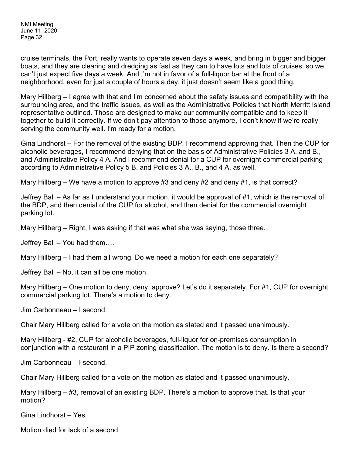cruise terminals, the Port, really wants to operate seven days a week, and bring in bigger and bigger boats, and they are clearing and dredging as fast as they can to have lots and lots of cruises, so we can't just expect five days a week. And I'm not in favor of a full-liquor bar at the front of a neighborhood, even for just a couple of hours a day, it just doesn't seem like a good thing.

Mary Hillberg – I agree with that and I'm concerned about the safety issues and compatibility with the surrounding area, and the traffic issues, as well as the Administrative Policies that North Merritt Island representative outlined. Those are designed to make our community compatible and to keep it together to build it correctly. If we don't pay attention to those anymore, I don't know if we're really serving the community well. I'm ready for a motion.

Gina Lindhorst – For the removal of the existing BDP, I recommend approving that. Then the CUP for alcoholic beverages, I recommend denying that on the basis of Administrative Policies 3 A. and B., and Administrative Policy 4 A. And I recommend denial for a CUP for overnight commercial parking according to Administrative Policy 5 B. and Policies 3 A., B., and 4 A. as well.

Mary Hillberg – We have a motion to approve #3 and deny #2 and deny #1, is that correct?

Jeffrey Ball – As far as I understand your motion, it would be approval of #1, which is the removal of the BDP, and then denial of the CUP for alcohol, and then denial for the commercial overnight parking lot.

Mary Hillberg – Right, I was asking if that was what she was saying, those three.

Jeffrey Ball – You had them….

Mary Hillberg – I had them all wrong. Do we need a motion for each one separately?

Jeffrey Ball – No, it can all be one motion.

Mary Hillberg – One motion to deny, deny, approve? Let's do it separately. For #1, CUP for overnight commercial parking lot. There's a motion to deny.

Jim Carbonneau – I second.

Chair Mary Hillberg called for a vote on the motion as stated and it passed unanimously.

Mary Hillberg - #2, CUP for alcoholic beverages, full-liquor for on-premises consumption in conjunction with a restaurant in a PIP zoning classification. The motion is to deny. Is there a second?

Jim Carbonneau – I second.

Chair Mary Hillberg called for a vote on the motion as stated and it passed unanimously.

Mary Hillberg – #3, removal of an existing BDP. There's a motion to approve that. Is that your motion?

Gina Lindhorst – Yes.

Motion died for lack of a second.